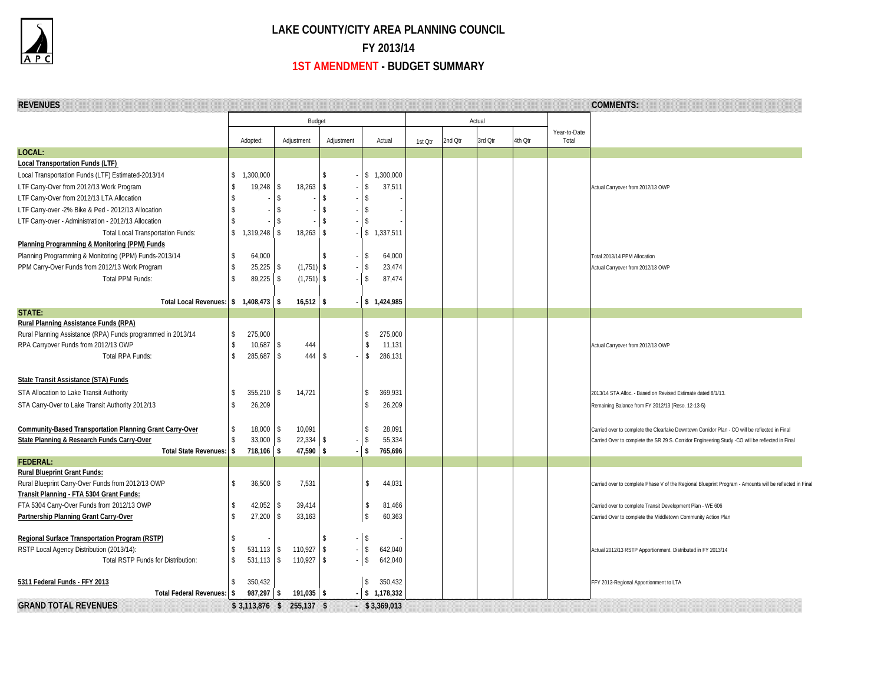

## **LAKE COUNTY/CITY AREA PLANNING COUNCIL FY 2013/14 1ST AMENDMENT - BUDGET SUMMARY**

| <b>REVENUES</b>                                                 |                         |                         |                         |                              |                    |                        |         |         |         |         |                       | <b>COMMENTS:</b>                                                                                        |
|-----------------------------------------------------------------|-------------------------|-------------------------|-------------------------|------------------------------|--------------------|------------------------|---------|---------|---------|---------|-----------------------|---------------------------------------------------------------------------------------------------------|
|                                                                 | Budget                  |                         |                         |                              |                    | Actual                 |         |         |         |         |                       |                                                                                                         |
|                                                                 |                         | Adopted:                | Adjustment              | Adjustment                   |                    | Actual                 | 1st Otr | 2nd Qtr | 3rd Qtr | 4th Qtr | Year-to-Date<br>Total |                                                                                                         |
| LOCAL:                                                          |                         |                         |                         |                              |                    |                        |         |         |         |         |                       |                                                                                                         |
| <b>Local Transportation Funds (LTF)</b>                         |                         |                         |                         |                              |                    |                        |         |         |         |         |                       |                                                                                                         |
| Local Transportation Funds (LTF) Estimated-2013/14              | \$                      | 1,300,000               |                         | \$                           |                    | \$1,300,000            |         |         |         |         |                       |                                                                                                         |
| LTF Carry-Over from 2012/13 Work Program                        | \$                      | 19,248                  | 18,263<br> \$           | \$                           | \$                 | 37,511                 |         |         |         |         |                       | Actual Carryover from 2012/13 OWP                                                                       |
| LTF Carry-Over from 2012/13 LTA Allocation                      | \$                      |                         | $\sqrt{3}$              | $\mathbf{\hat{S}}$<br>$\sim$ | $\mathbf{\hat{S}}$ |                        |         |         |         |         |                       |                                                                                                         |
| LTF Carry-over -2% Bike & Ped - 2012/13 Allocation              | \$                      |                         | $\sqrt{3}$              | \$                           | -Ŝ                 |                        |         |         |         |         |                       |                                                                                                         |
| LTF Carry-over - Administration - 2012/13 Allocation            |                         |                         | $\sqrt[6]{\frac{1}{2}}$ | Ŝ                            | \$                 |                        |         |         |         |         |                       |                                                                                                         |
| <b>Total Local Transportation Funds:</b>                        | $\sqrt[6]{\frac{1}{2}}$ | 1,319,248               | $\sqrt{3}$<br>18,263    | \$                           |                    | $-$ \$ 1,337,511       |         |         |         |         |                       |                                                                                                         |
| Planning Programming & Monitoring (PPM) Funds                   |                         |                         |                         |                              |                    |                        |         |         |         |         |                       |                                                                                                         |
| Planning Programming & Monitoring (PPM) Funds-2013/14           | \$                      | 64,000                  |                         | \$                           | $\sqrt{2}$         | 64,000                 |         |         |         |         |                       | Total 2013/14 PPM Allocation                                                                            |
| PPM Carry-Over Funds from 2012/13 Work Program                  | \$                      | 25,225                  | (1, 751)<br><b>S</b>    | \$<br>$\sim$                 | $\sqrt{2}$         | 23,474                 |         |         |         |         |                       | Actual Carryover from 2012/13 OWP                                                                       |
| <b>Total PPM Funds:</b>                                         | $\mathbf{\hat{s}}$      | 89,225                  | $(1,751)$ \$<br>- \$    |                              | $\mathsf{\$}$      | 87,474                 |         |         |         |         |                       |                                                                                                         |
| Total Local Revenues: \$ 1,408,473                              |                         |                         | 16,512<br>$\sqrt{2}$    | <b>S</b>                     |                    | $-$ \$ 1,424,985       |         |         |         |         |                       |                                                                                                         |
| STATE:                                                          |                         |                         |                         |                              |                    |                        |         |         |         |         |                       |                                                                                                         |
| Rural Planning Assistance Funds (RPA)                           |                         |                         |                         |                              |                    |                        |         |         |         |         |                       |                                                                                                         |
| Rural Planning Assistance (RPA) Funds programmed in 2013/14     | \$                      | 275,000                 |                         |                              | \$                 | 275,000                |         |         |         |         |                       |                                                                                                         |
| RPA Carryover Funds from 2012/13 OWP                            | Ŝ                       | 10,687                  | l \$<br>444             |                              | \$                 | 11,131                 |         |         |         |         |                       | Actual Carryover from 2012/13 OWP                                                                       |
| Total RPA Funds:                                                | \$                      | 285,687                 | 444<br>$\vert$ \$       | \$                           | \$                 | 286,131                |         |         |         |         |                       |                                                                                                         |
|                                                                 |                         |                         |                         |                              |                    |                        |         |         |         |         |                       |                                                                                                         |
| State Transit Assistance (STA) Funds                            |                         |                         |                         |                              |                    |                        |         |         |         |         |                       |                                                                                                         |
| STA Allocation to Lake Transit Authority                        | \$                      | $355,210$ \$            | 14,721                  |                              | \$                 | 369,931                |         |         |         |         |                       | 2013/14 STA Alloc. - Based on Revised Estimate dated 8/1/13.                                            |
| STA Carry-Over to Lake Transit Authority 2012/13                | $\mathsf{\$}$           | 26,209                  |                         |                              | \$                 | 26,209                 |         |         |         |         |                       | Remaining Balance from FY 2012/13 (Reso. 12-13-5)                                                       |
|                                                                 |                         |                         |                         |                              |                    |                        |         |         |         |         |                       |                                                                                                         |
| <b>Community-Based Transportation Planning Grant Carry-Over</b> | \$                      | $18,000$ \$             | 10,091                  |                              | \$                 | 28,091                 |         |         |         |         |                       | Carried over to complete the Clearlake Downtown Corridor Plan - CO will be reflected in Final           |
| State Planning & Research Funds Carry-Over                      | \$                      | 33,000                  | 22,334<br>1\$           | \$                           | s                  | 55,334                 |         |         |         |         |                       | Carried Over to complete the SR 29 S. Corridor Engineering Study -CO will be reflected in Final         |
| Total State Revenues: \$                                        |                         | 718,106                 | 47,590<br>l \$          | l \$                         | s.                 | 765,696                |         |         |         |         |                       |                                                                                                         |
| <b>FEDERAL:</b>                                                 |                         |                         |                         |                              |                    |                        |         |         |         |         |                       |                                                                                                         |
| <b>Rural Blueprint Grant Funds:</b>                             |                         |                         |                         |                              |                    |                        |         |         |         |         |                       |                                                                                                         |
| Rural Blueprint Carry-Over Funds from 2012/13 OWP               | \$                      | 36,500                  | 7,531<br>$\vert$ \$     |                              | \$                 | 44,031                 |         |         |         |         |                       | Carried over to complete Phase V of the Regional Blueprint Program - Amounts will be reflected in Final |
| Transit Planning - FTA 5304 Grant Funds:                        |                         |                         |                         |                              |                    |                        |         |         |         |         |                       |                                                                                                         |
| FTA 5304 Carry-Over Funds from 2012/13 OWP                      | s.                      | $42,052$ \ \$           | 39,414                  |                              | \$                 | 81,466                 |         |         |         |         |                       | Carried over to complete Transit Development Plan - WE 606                                              |
| Partnership Planning Grant Carry-Over                           | \$                      | 27,200                  | \$<br>33,163            |                              | \$                 | 60,363                 |         |         |         |         |                       | Carried Over to complete the Middletown Community Action Plan                                           |
| Regional Surface Transportation Program (RSTP)                  |                         |                         |                         | \$                           | $-$ \$             |                        |         |         |         |         |                       |                                                                                                         |
| RSTP Local Agency Distribution (2013/14):                       | \$                      | $531,113$ \$            | 110,927                 | \$                           | $-$ \$             | 642,040                |         |         |         |         |                       | Actual 2012/13 RSTP Apportionment. Distributed in FY 2013/14                                            |
| Total RSTP Funds for Distribution:                              | \$                      | $531,113$ \$            | 110,927                 | \$                           | $\sqrt{2}$         | 642,040                |         |         |         |         |                       |                                                                                                         |
|                                                                 |                         |                         |                         |                              |                    |                        |         |         |         |         |                       |                                                                                                         |
| 5311 Federal Funds - FFY 2013<br>Total Federal Revenues: \$     | \$                      | 350,432<br>$987,297$ \$ | $191,035$ \$            |                              | \$                 | 350,432<br>\$1,178,332 |         |         |         |         |                       | FFY 2013-Regional Apportionment to LTA                                                                  |
| <b>GRAND TOTAL REVENUES</b>                                     |                         |                         |                         |                              |                    |                        |         |         |         |         |                       |                                                                                                         |
|                                                                 |                         | $$3,113,876$ \$         | 255,137 \$              |                              |                    | $-$ \$3,369,013        |         |         |         |         |                       |                                                                                                         |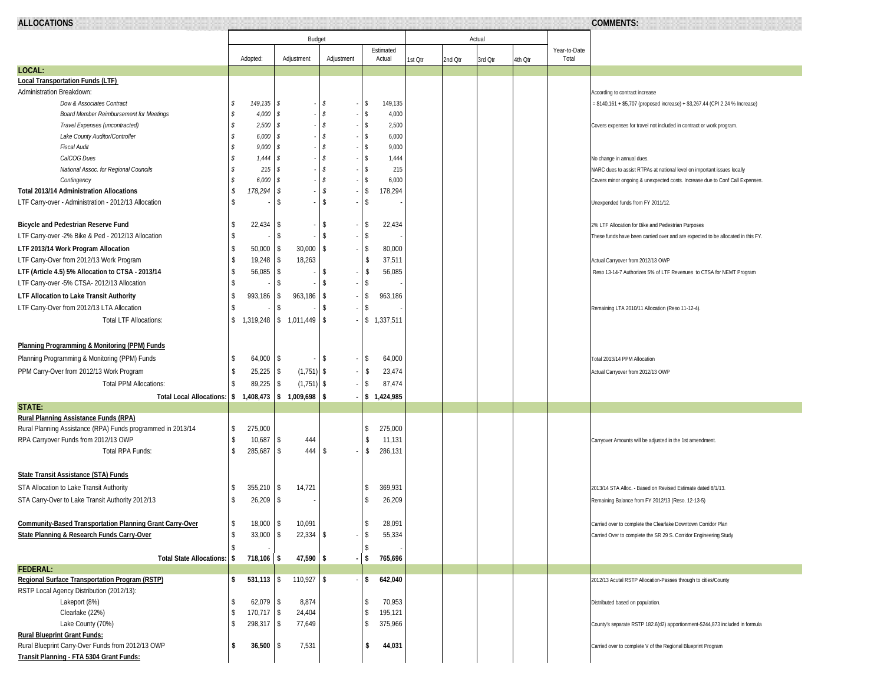| ALLOC<br>ு∪∩ு<br>,,,,,,,,,,,,,,,, |        |  |  |
|-----------------------------------|--------|--|--|
|                                   | Budget |  |  |

**ALLOCATIONS COMMENTS:** 

|                                                                 | Budget                   |                   |                              |     |            |                     |                     | Actual  |         |         |         |                       |                                                                                 |
|-----------------------------------------------------------------|--------------------------|-------------------|------------------------------|-----|------------|---------------------|---------------------|---------|---------|---------|---------|-----------------------|---------------------------------------------------------------------------------|
|                                                                 |                          | Adopted:          | Adjustment                   |     | Adjustment |                     | Estimated<br>Actual | 1st Qtr | 2nd Qtr | 3rd Otr | 4th Otr | Year-to-Date<br>Total |                                                                                 |
| LOCAL:                                                          |                          |                   |                              |     |            |                     |                     |         |         |         |         |                       |                                                                                 |
| <b>Local Transportation Funds (LTF)</b>                         |                          |                   |                              |     |            |                     |                     |         |         |         |         |                       |                                                                                 |
| Administration Breakdown:                                       |                          |                   |                              |     |            |                     |                     |         |         |         |         |                       | According to contract increase                                                  |
| Dow & Associates Contract                                       | \$                       | $149, 135$ \$     |                              | s   |            | s.                  | 149,135             |         |         |         |         |                       | = \$140,161 + \$5,707 (proposed increase) + \$3,267.44 (CPI 2.24 % Increase)    |
| <b>Board Member Reimbursement for Meetings</b>                  | S                        | 4,000             | s                            | s   | ٠.         | \$                  | 4,000               |         |         |         |         |                       |                                                                                 |
| Travel Expenses (uncontracted)                                  | s                        | 2,500             | s                            | s.  |            | s                   | 2,500               |         |         |         |         |                       | Covers expenses for travel not included in contract or work program.            |
| Lake County Auditor/Controller                                  | \$                       | 6,000             | s                            | s   |            | s                   | 6,000               |         |         |         |         |                       |                                                                                 |
| <b>Fiscal Audit</b>                                             | \$                       | $9,000$ \$        |                              | s   |            | s                   | 9,000               |         |         |         |         |                       |                                                                                 |
| CalCOG Dues                                                     | s                        | $1,444$ \$        |                              | s   |            | s                   | 1,444               |         |         |         |         |                       | No change in annual dues.                                                       |
| National Assoc. for Regional Councils                           | \$                       | 215               | s                            | s.  |            | s                   | 215                 |         |         |         |         |                       | NARC dues to assist RTPAs at national level on important issues locally         |
| Contingency                                                     | s                        | 6,000             | s                            | s   |            | s                   | 6,000               |         |         |         |         |                       | Covers minor ongoing & unexpected costs. Increase due to Conf Call Expenses.    |
| <b>Total 2013/14 Administration Allocations</b>                 | \$                       | 178,294           | \$                           | \$  |            | \$                  | 178,294             |         |         |         |         |                       |                                                                                 |
| LTF Carry-over - Administration - 2012/13 Allocation            | \$                       |                   | -S                           | -S  |            | \$                  |                     |         |         |         |         |                       | Unexpended funds from FY 2011/12.                                               |
| <b>Bicycle and Pedestrian Reserve Fund</b>                      | \$                       | 22,434            | s.                           | -S  |            | \$                  | 22,434              |         |         |         |         |                       | 2% LTF Allocation for Bike and Pedestrian Purposes                              |
| LTF Carry-over -2% Bike & Ped - 2012/13 Allocation              | \$                       |                   | -S                           | s.  |            | \$                  |                     |         |         |         |         |                       | These funds have been carried over and are expected to be allocated in this FY. |
| LTF 2013/14 Work Program Allocation                             | \$                       | $50,000$ \$       | 30,000                       | l\$ |            | \$                  | 80,000              |         |         |         |         |                       |                                                                                 |
| LTF Carry-Over from 2012/13 Work Program                        | \$                       | 19,248            | 18,263<br>\$                 |     |            | \$                  | 37,511              |         |         |         |         |                       | Actual Carryover from 2012/13 OWP                                               |
| LTF (Article 4.5) 5% Allocation to CTSA - 2013/14               | $\sqrt[6]{3}$            | 56,085            | \$                           | -S  |            | -\$                 | 56,085              |         |         |         |         |                       | Reso 13-14-7 Authorizes 5% of LTF Revenues to CTSA for NEMT Program             |
| LTF Carry-over -5% CTSA- 2012/13 Allocation                     | \$                       |                   | s.                           | -S  |            | \$                  |                     |         |         |         |         |                       |                                                                                 |
| LTF Allocation to Lake Transit Authority                        | \$                       | 993,186           | 963,186<br>\$                | -S  |            | -\$                 | 963,186             |         |         |         |         |                       |                                                                                 |
| LTF Carry-Over from 2012/13 LTA Allocation                      | \$.                      |                   | -S                           | -S  |            | \$                  |                     |         |         |         |         |                       | Remaining LTA 2010/11 Allocation (Reso 11-12-4).                                |
| <b>Total LTF Allocations:</b>                                   | \$                       |                   | 1,319,248   \$ 1,011,449     | -\$ |            |                     | \$1,337,511         |         |         |         |         |                       |                                                                                 |
| Planning Programming & Monitoring (PPM) Funds                   |                          |                   |                              |     |            |                     |                     |         |         |         |         |                       |                                                                                 |
|                                                                 | \$                       |                   |                              | -S  |            |                     |                     |         |         |         |         |                       |                                                                                 |
| Planning Programming & Monitoring (PPM) Funds                   |                          | $64,000$ \ \$     |                              |     |            | \$                  | 64,000              |         |         |         |         |                       | Total 2013/14 PPM Allocation                                                    |
| PPM Carry-Over from 2012/13 Work Program                        | \$                       | $25,225$ \$       | $(1,751)$ \$                 |     |            | -\$                 | 23,474              |         |         |         |         |                       | Actual Carryover from 2012/13 OWP                                               |
| <b>Total PPM Allocations:</b>                                   | \$                       | 89,225            | $(1,751)$ \$<br>\$           |     |            | -\$                 | 87,474              |         |         |         |         |                       |                                                                                 |
| <b>Total Local Allocations:</b>                                 |                          |                   | $$1,408,473 \mid $1,009,698$ | -S  |            |                     | \$1,424,985         |         |         |         |         |                       |                                                                                 |
| STATE:                                                          |                          |                   |                              |     |            |                     |                     |         |         |         |         |                       |                                                                                 |
| <b>Rural Planning Assistance Funds (RPA)</b>                    |                          |                   |                              |     |            |                     |                     |         |         |         |         |                       |                                                                                 |
| Rural Planning Assistance (RPA) Funds programmed in 2013/14     | \$                       | 275,000           |                              |     |            | \$<br>$\mathsf{\$}$ | 275,000             |         |         |         |         |                       |                                                                                 |
| RPA Carryover Funds from 2012/13 OWP<br>Total RPA Funds:        | \$<br>\$                 | 10,687<br>285,687 | 444<br>-S<br>444<br>s.       | -S  |            | \$                  | 11,131<br>286,131   |         |         |         |         |                       | Carryover Amounts will be adjusted in the 1st amendment.                        |
|                                                                 |                          |                   |                              |     |            |                     |                     |         |         |         |         |                       |                                                                                 |
| State Transit Assistance (STA) Funds                            |                          |                   |                              |     |            |                     |                     |         |         |         |         |                       |                                                                                 |
| STA Allocation to Lake Transit Authority                        | -S                       | 355,210           | 14,721<br>\$                 |     |            | \$                  | 369,931             |         |         |         |         |                       | 2013/14 STA Alloc. - Based on Revised Estimate dated 8/1/13.                    |
| STA Carry-Over to Lake Transit Authority 2012/13                | \$                       | 26,209            | -S                           |     |            | \$                  | 26,209              |         |         |         |         |                       | Remaining Balance from FY 2012/13 (Reso. 12-13-5)                               |
|                                                                 |                          |                   |                              |     |            |                     |                     |         |         |         |         |                       |                                                                                 |
| <b>Community-Based Transportation Planning Grant Carry-Over</b> | \$<br>$\mathbf{\hat{S}}$ | $18,000$ \$       | 10,091                       |     |            | \$<br>\$            | 28,091              |         |         |         |         |                       | Carried over to complete the Clearlake Downtown Corridor Plan                   |
| State Planning & Research Funds Carry-Over                      |                          | $33,000$ \$       | 22,334                       |     |            |                     | 55,334              |         |         |         |         |                       | Carried Over to complete the SR 29 S. Corridor Engineering Study                |
|                                                                 | \$                       |                   |                              |     |            | s                   |                     |         |         |         |         |                       |                                                                                 |
| Total State Allocations: \$718,106 \$<br><b>FEDERAL:</b>        |                          |                   | 47,590 \$                    |     |            | \$                  | 765,696             |         |         |         |         |                       |                                                                                 |
| Regional Surface Transportation Program (RSTP)                  | \$                       |                   | $531,113$ \$ 110,927 \$      |     |            | \$                  | 642,040             |         |         |         |         |                       | 2012/13 Acutal RSTP Allocation-Passes through to cities/County                  |
| RSTP Local Agency Distribution (2012/13):                       |                          |                   |                              |     |            |                     |                     |         |         |         |         |                       |                                                                                 |
| Lakeport (8%)                                                   | \$                       | $62,079$ \ \ \$   | 8,874                        |     |            | \$                  | 70,953              |         |         |         |         |                       | Distributed based on population.                                                |
| Clearlake (22%)                                                 | \$                       | 170,717           | 24,404<br>\$                 |     |            | \$                  | 195,121             |         |         |         |         |                       |                                                                                 |
| Lake County (70%)                                               | \$                       | $298,317$ \$      | 77,649                       |     |            | \$                  | 375,966             |         |         |         |         |                       | County's separate RSTP 182.6(d2) apportionment-\$244,873 included in formula    |
| <b>Rural Blueprint Grant Funds:</b>                             |                          |                   |                              |     |            |                     |                     |         |         |         |         |                       |                                                                                 |
| Rural Blueprint Carry-Over Funds from 2012/13 OWP               | \$                       | $36,500$ \$       | 7,531                        |     |            | \$                  | 44,031              |         |         |         |         |                       | Carried over to complete V of the Regional Blueprint Program                    |
| Transit Planning - FTA 5304 Grant Funds:                        |                          |                   |                              |     |            |                     |                     |         |         |         |         |                       |                                                                                 |